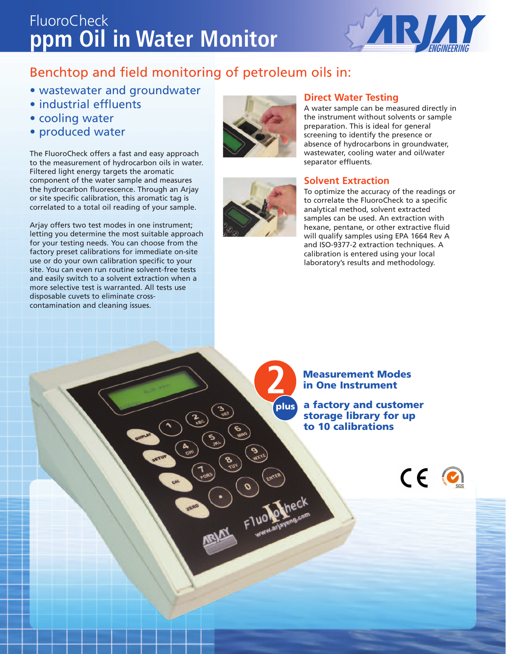## **ppm Oil in Water Monitor** FluoroCheck



### Benchtop and field monitoring of petroleum oils in:

- wastewater and groundwater
- industrial effluents
- cooling water
- produced water

The FluoroCheck offers a fast and easy approach to the measurement of hydrocarbon oils in water. Filtered light energy targets the aromatic component of the water sample and measures the hydrocarbon fluorescence. Through an Arjay or site specific calibration, this aromatic tag is correlated to a total oil reading of your sample.

Arjay offers two test modes in one instrument; letting you determine the most suitable approach for your testing needs. You can choose from the factory preset calibrations for immediate on-site use or do your own calibration specific to your site. You can even run routine solvent-free tests and easily switch to a solvent extraction when a more selective test is warranted. All tests use disposable cuvets to eliminate crosscontamination and cleaning issues.





Fluolo

#### **Direct Water Testing**

A water sample can be measured directly in the instrument without solvents or sample preparation. This is ideal for general screening to identify the presence or absence of hydrocarbons in groundwater, wastewater, cooling water and oil/water separator effluents.

#### **Solvent Extraction**

To optimize the accuracy of the readings or to correlate the FluoroCheck to a specific analytical method, solvent extracted samples can be used. An extraction with hexane, pentane, or other extractive fluid will qualify samples using EPA 1664 Rev A and ISO-9377-2 extraction techniques. A calibration is entered using your local laboratory's results and methodology.

**Measurement Modes 2 in One Instrument**

**plus a factory and customer storage library for up to 10 calibrations**

 $CE<sub>o</sub>$